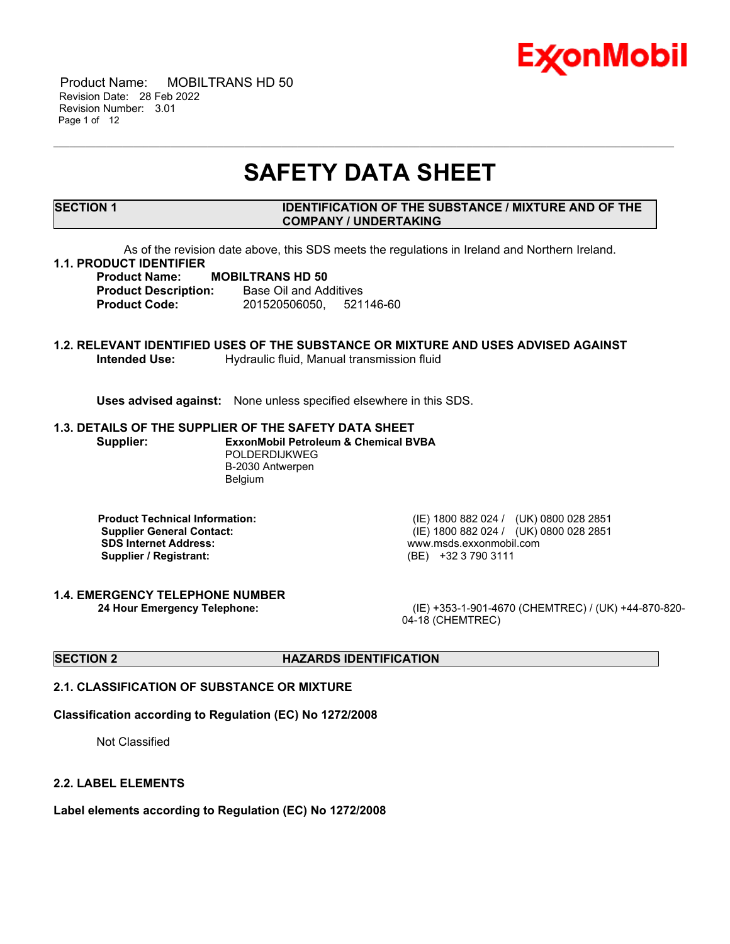

 Product Name: MOBILTRANS HD 50 Revision Date: 28 Feb 2022 Revision Number: 3.01 Page 1 of 12

# **SAFETY DATA SHEET**

\_\_\_\_\_\_\_\_\_\_\_\_\_\_\_\_\_\_\_\_\_\_\_\_\_\_\_\_\_\_\_\_\_\_\_\_\_\_\_\_\_\_\_\_\_\_\_\_\_\_\_\_\_\_\_\_\_\_\_\_\_\_\_\_\_\_\_\_\_\_\_\_\_\_\_\_\_\_\_\_\_\_\_\_\_\_\_\_\_\_\_\_\_\_\_\_\_\_\_\_\_\_\_\_\_\_\_\_\_\_\_\_\_\_\_\_\_

# **SECTION 1 IDENTIFICATION OF THE SUBSTANCE / MIXTURE AND OF THE COMPANY / UNDERTAKING**

As of the revision date above, this SDS meets the regulations in Ireland and Northern Ireland.

# **1.1. PRODUCT IDENTIFIER**

**Product Name: MOBILTRANS HD 50 Product Description:** Base Oil and Additives **Product Code:** 201520506050, 521146-60

# **1.2. RELEVANT IDENTIFIED USES OF THE SUBSTANCE OR MIXTURE AND USES ADVISED AGAINST Intended Use:** Hydraulic fluid, Manual transmission fluid

**Uses advised against:** None unless specified elsewhere in this SDS.

#### **1.3. DETAILS OF THE SUPPLIER OF THE SAFETY DATA SHEET**

**Supplier: ExxonMobil Petroleum & Chemical BVBA** POLDERDIJKWEG B-2030 Antwerpen Belgium

**SDS Internet Address:** www.msds.exxonmobil.com **Supplier / Registrant:** (BE) +32 3 790 3111

**1.4. EMERGENCY TELEPHONE NUMBER**

**Product Technical Information:** (IE) 1800 882 024 / (UK) 0800 028 2851 **Supplier General Contact:** (IE) 1800 882 024 / (UK) 0800 028 2851

**24 Hour Emergency Telephone:** (IE) +353-1-901-4670 (CHEMTREC) / (UK) +44-870-820- 04-18 (CHEMTREC)

# **SECTION 2 HAZARDS IDENTIFICATION**

# **2.1. CLASSIFICATION OF SUBSTANCE OR MIXTURE**

# **Classification according to Regulation (EC) No 1272/2008**

Not Classified

#### **2.2. LABEL ELEMENTS**

**Label elements according to Regulation (EC) No 1272/2008**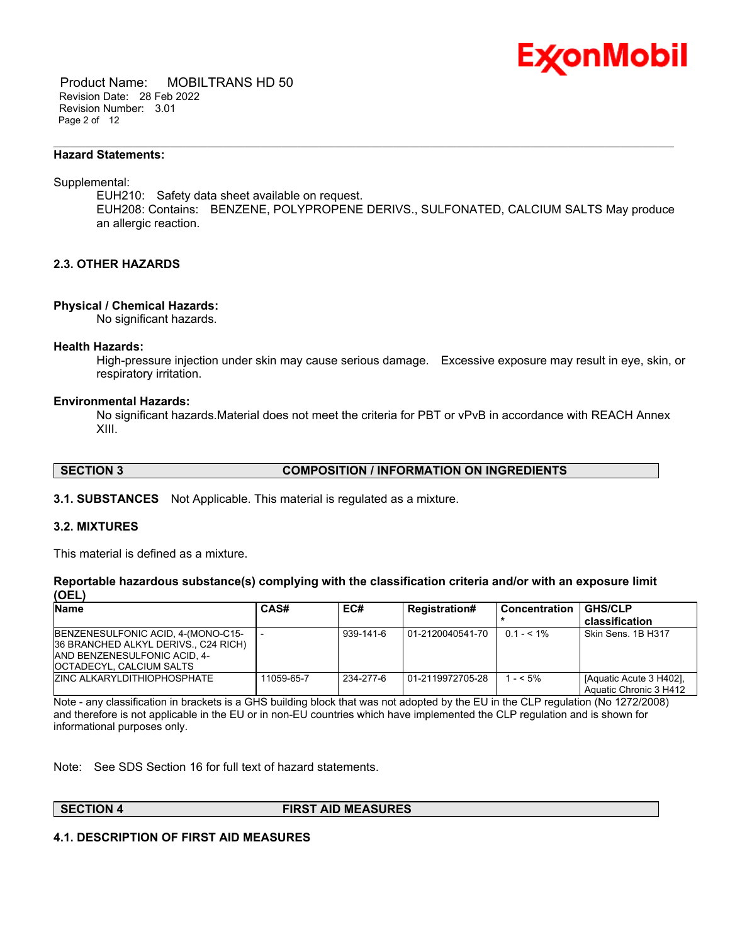

 Product Name: MOBILTRANS HD 50 Revision Date: 28 Feb 2022 Revision Number: 3.01 Page 2 of 12

#### **Hazard Statements:**

Supplemental:

EUH210: Safety data sheet available on request. EUH208: Contains: BENZENE, POLYPROPENE DERIVS., SULFONATED, CALCIUM SALTS May produce an allergic reaction.

\_\_\_\_\_\_\_\_\_\_\_\_\_\_\_\_\_\_\_\_\_\_\_\_\_\_\_\_\_\_\_\_\_\_\_\_\_\_\_\_\_\_\_\_\_\_\_\_\_\_\_\_\_\_\_\_\_\_\_\_\_\_\_\_\_\_\_\_\_\_\_\_\_\_\_\_\_\_\_\_\_\_\_\_\_\_\_\_\_\_\_\_\_\_\_\_\_\_\_\_\_\_\_\_\_\_\_\_\_\_\_\_\_\_\_\_\_

# **2.3. OTHER HAZARDS**

#### **Physical / Chemical Hazards:**

No significant hazards.

#### **Health Hazards:**

High-pressure injection under skin may cause serious damage. Excessive exposure may result in eye, skin, or respiratory irritation.

#### **Environmental Hazards:**

No significant hazards.Material does not meet the criteria for PBT or vPvB in accordance with REACH Annex XIII.

**SECTION 3 COMPOSITION / INFORMATION ON INGREDIENTS**

**3.1. SUBSTANCES** Not Applicable. This material is regulated as a mixture.

#### **3.2. MIXTURES**

This material is defined as a mixture.

#### **Reportable hazardous substance(s) complying with the classification criteria and/or with an exposure limit (OEL)**

| <b>Name</b>                          | CAS#       | EC#       | <b>Registration#</b> | l Concentration | <b>GHS/CLP</b>          |
|--------------------------------------|------------|-----------|----------------------|-----------------|-------------------------|
|                                      |            |           |                      |                 | classification          |
| BENZENESULFONIC ACID, 4-(MONO-C15-   |            | 939-141-6 | 01-2120040541-70     | $0.1 - 5.1\%$   | Skin Sens, 1B H317      |
| 36 BRANCHED ALKYL DERIVS., C24 RICH) |            |           |                      |                 |                         |
| AND BENZENESULFONIC ACID, 4-         |            |           |                      |                 |                         |
| OCTADECYL, CALCIUM SALTS             |            |           |                      |                 |                         |
| <b>ZINC ALKARYLDITHIOPHOSPHATE</b>   | 11059-65-7 | 234-277-6 | 01-2119972705-28     | $1 - 5\%$       | [Aquatic Acute 3 H402], |
|                                      |            |           |                      |                 | Aquatic Chronic 3 H412  |

Note - any classification in brackets is a GHS building block that was not adopted by the EU in the CLP regulation (No 1272/2008) and therefore is not applicable in the EU or in non-EU countries which have implemented the CLP regulation and is shown for informational purposes only.

Note: See SDS Section 16 for full text of hazard statements.

**SECTION 4 FIRST AID MEASURES**

#### **4.1. DESCRIPTION OF FIRST AID MEASURES**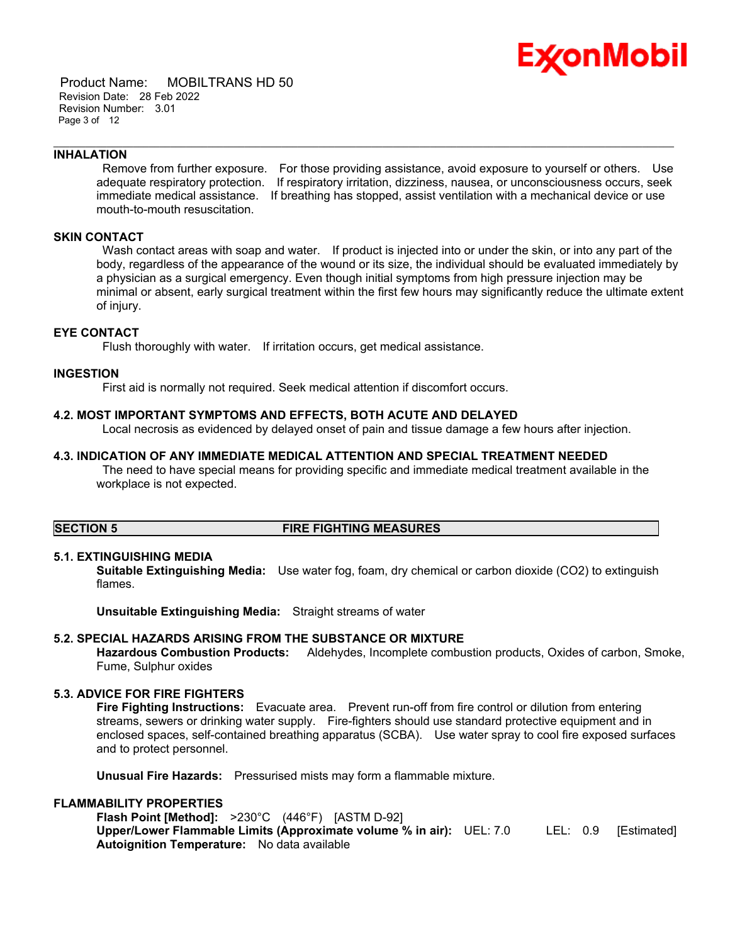

 Product Name: MOBILTRANS HD 50 Revision Date: 28 Feb 2022 Revision Number: 3.01 Page 3 of 12

# **INHALATION**

Remove from further exposure. For those providing assistance, avoid exposure to yourself or others. Use adequate respiratory protection. If respiratory irritation, dizziness, nausea, or unconsciousness occurs, seek immediate medical assistance. If breathing has stopped, assist ventilation with a mechanical device or use mouth-to-mouth resuscitation.

\_\_\_\_\_\_\_\_\_\_\_\_\_\_\_\_\_\_\_\_\_\_\_\_\_\_\_\_\_\_\_\_\_\_\_\_\_\_\_\_\_\_\_\_\_\_\_\_\_\_\_\_\_\_\_\_\_\_\_\_\_\_\_\_\_\_\_\_\_\_\_\_\_\_\_\_\_\_\_\_\_\_\_\_\_\_\_\_\_\_\_\_\_\_\_\_\_\_\_\_\_\_\_\_\_\_\_\_\_\_\_\_\_\_\_\_\_

# **SKIN CONTACT**

Wash contact areas with soap and water. If product is injected into or under the skin, or into any part of the body, regardless of the appearance of the wound or its size, the individual should be evaluated immediately by a physician as a surgical emergency. Even though initial symptoms from high pressure injection may be minimal or absent, early surgical treatment within the first few hours may significantly reduce the ultimate extent of injury.

# **EYE CONTACT**

Flush thoroughly with water. If irritation occurs, get medical assistance.

# **INGESTION**

First aid is normally not required. Seek medical attention if discomfort occurs.

#### **4.2. MOST IMPORTANT SYMPTOMS AND EFFECTS, BOTH ACUTE AND DELAYED**

Local necrosis as evidenced by delayed onset of pain and tissue damage a few hours after injection.

#### **4.3. INDICATION OF ANY IMMEDIATE MEDICAL ATTENTION AND SPECIAL TREATMENT NEEDED**

The need to have special means for providing specific and immediate medical treatment available in the workplace is not expected.

# **SECTION 5 FIRE FIGHTING MEASURES**

# **5.1. EXTINGUISHING MEDIA**

**Suitable Extinguishing Media:** Use water fog, foam, dry chemical or carbon dioxide (CO2) to extinguish flames.

**Unsuitable Extinguishing Media:** Straight streams of water

#### **5.2. SPECIAL HAZARDS ARISING FROM THE SUBSTANCE OR MIXTURE**

**Hazardous Combustion Products:** Aldehydes, Incomplete combustion products, Oxides of carbon, Smoke, Fume, Sulphur oxides

# **5.3. ADVICE FOR FIRE FIGHTERS**

**Fire Fighting Instructions:** Evacuate area. Prevent run-off from fire control or dilution from entering streams, sewers or drinking water supply. Fire-fighters should use standard protective equipment and in enclosed spaces, self-contained breathing apparatus (SCBA). Use water spray to cool fire exposed surfaces and to protect personnel.

**Unusual Fire Hazards:** Pressurised mists may form a flammable mixture.

# **FLAMMABILITY PROPERTIES**

**Flash Point [Method]:** >230°C (446°F) [ASTM D-92] **Upper/Lower Flammable Limits (Approximate volume % in air):** UEL: 7.0 LEL: 0.9 [Estimated] **Autoignition Temperature:** No data available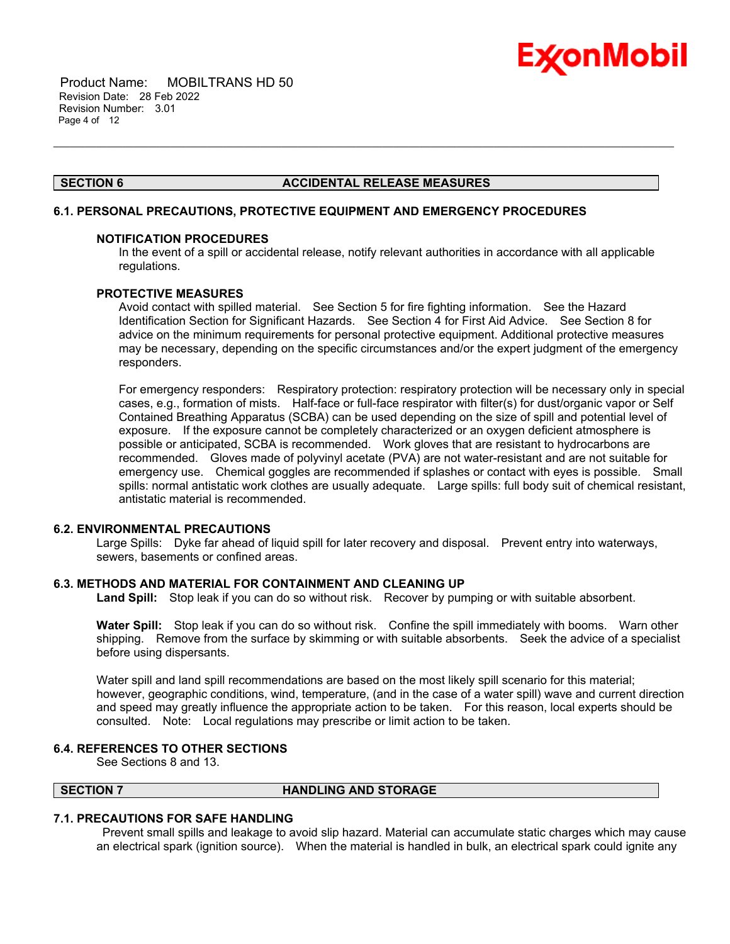

 Product Name: MOBILTRANS HD 50 Revision Date: 28 Feb 2022 Revision Number: 3.01 Page 4 of 12

# **SECTION 6 ACCIDENTAL RELEASE MEASURES**

\_\_\_\_\_\_\_\_\_\_\_\_\_\_\_\_\_\_\_\_\_\_\_\_\_\_\_\_\_\_\_\_\_\_\_\_\_\_\_\_\_\_\_\_\_\_\_\_\_\_\_\_\_\_\_\_\_\_\_\_\_\_\_\_\_\_\_\_\_\_\_\_\_\_\_\_\_\_\_\_\_\_\_\_\_\_\_\_\_\_\_\_\_\_\_\_\_\_\_\_\_\_\_\_\_\_\_\_\_\_\_\_\_\_\_\_\_

#### **6.1. PERSONAL PRECAUTIONS, PROTECTIVE EQUIPMENT AND EMERGENCY PROCEDURES**

#### **NOTIFICATION PROCEDURES**

In the event of a spill or accidental release, notify relevant authorities in accordance with all applicable regulations.

# **PROTECTIVE MEASURES**

Avoid contact with spilled material. See Section 5 for fire fighting information. See the Hazard Identification Section for Significant Hazards. See Section 4 for First Aid Advice. See Section 8 for advice on the minimum requirements for personal protective equipment. Additional protective measures may be necessary, depending on the specific circumstances and/or the expert judgment of the emergency responders.

For emergency responders: Respiratory protection: respiratory protection will be necessary only in special cases, e.g., formation of mists. Half-face or full-face respirator with filter(s) for dust/organic vapor or Self Contained Breathing Apparatus (SCBA) can be used depending on the size of spill and potential level of exposure. If the exposure cannot be completely characterized or an oxygen deficient atmosphere is possible or anticipated, SCBA is recommended. Work gloves that are resistant to hydrocarbons are recommended. Gloves made of polyvinyl acetate (PVA) are not water-resistant and are not suitable for emergency use. Chemical goggles are recommended if splashes or contact with eyes is possible. Small spills: normal antistatic work clothes are usually adequate. Large spills: full body suit of chemical resistant, antistatic material is recommended.

#### **6.2. ENVIRONMENTAL PRECAUTIONS**

Large Spills: Dyke far ahead of liquid spill for later recovery and disposal. Prevent entry into waterways, sewers, basements or confined areas.

# **6.3. METHODS AND MATERIAL FOR CONTAINMENT AND CLEANING UP**

**Land Spill:** Stop leak if you can do so without risk. Recover by pumping or with suitable absorbent.

**Water Spill:** Stop leak if you can do so without risk. Confine the spill immediately with booms. Warn other shipping. Remove from the surface by skimming or with suitable absorbents. Seek the advice of a specialist before using dispersants.

Water spill and land spill recommendations are based on the most likely spill scenario for this material; however, geographic conditions, wind, temperature, (and in the case of a water spill) wave and current direction and speed may greatly influence the appropriate action to be taken. For this reason, local experts should be consulted. Note: Local regulations may prescribe or limit action to be taken.

# **6.4. REFERENCES TO OTHER SECTIONS**

See Sections 8 and 13.

#### **SECTION 7 HANDLING AND STORAGE**

# **7.1. PRECAUTIONS FOR SAFE HANDLING**

Prevent small spills and leakage to avoid slip hazard. Material can accumulate static charges which may cause an electrical spark (ignition source). When the material is handled in bulk, an electrical spark could ignite any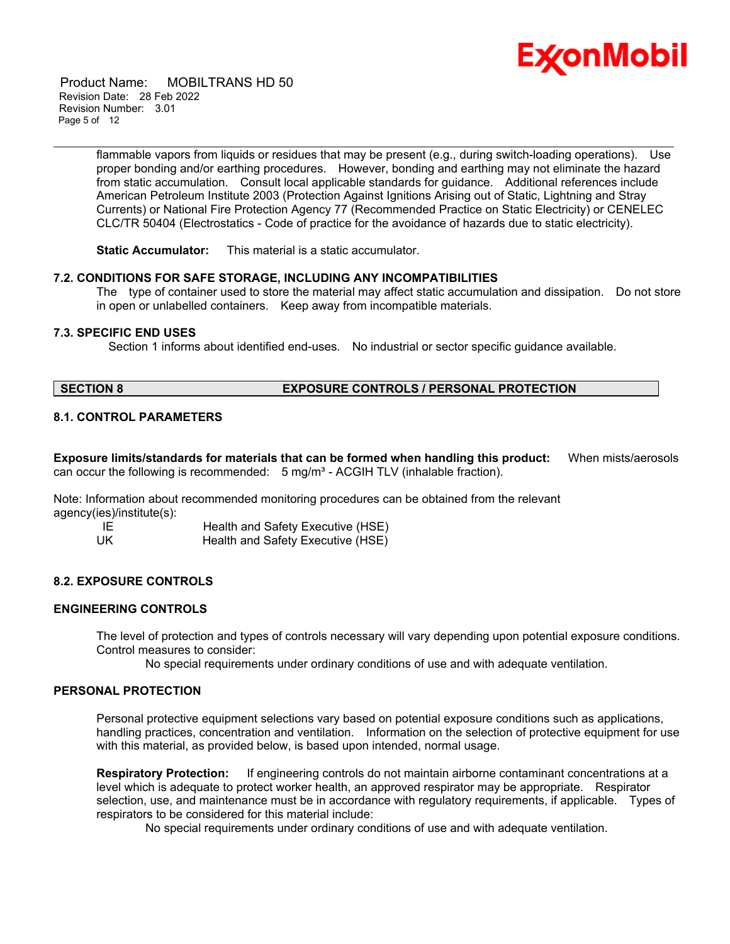

 Product Name: MOBILTRANS HD 50 Revision Date: 28 Feb 2022 Revision Number: 3.01 Page 5 of 12

> flammable vapors from liquids or residues that may be present (e.g., during switch-loading operations). Use proper bonding and/or earthing procedures. However, bonding and earthing may not eliminate the hazard from static accumulation. Consult local applicable standards for guidance. Additional references include American Petroleum Institute 2003 (Protection Against Ignitions Arising out of Static, Lightning and Stray Currents) or National Fire Protection Agency 77 (Recommended Practice on Static Electricity) or CENELEC CLC/TR 50404 (Electrostatics - Code of practice for the avoidance of hazards due to static electricity).

\_\_\_\_\_\_\_\_\_\_\_\_\_\_\_\_\_\_\_\_\_\_\_\_\_\_\_\_\_\_\_\_\_\_\_\_\_\_\_\_\_\_\_\_\_\_\_\_\_\_\_\_\_\_\_\_\_\_\_\_\_\_\_\_\_\_\_\_\_\_\_\_\_\_\_\_\_\_\_\_\_\_\_\_\_\_\_\_\_\_\_\_\_\_\_\_\_\_\_\_\_\_\_\_\_\_\_\_\_\_\_\_\_\_\_\_\_

**Static Accumulator:** This material is a static accumulator.

# **7.2. CONDITIONS FOR SAFE STORAGE, INCLUDING ANY INCOMPATIBILITIES**

The type of container used to store the material may affect static accumulation and dissipation. Do not store in open or unlabelled containers. Keep away from incompatible materials.

# **7.3. SPECIFIC END USES**

Section 1 informs about identified end-uses. No industrial or sector specific guidance available.

# **SECTION 8 EXPOSURE CONTROLS / PERSONAL PROTECTION**

# **8.1. CONTROL PARAMETERS**

**Exposure limits/standards for materials that can be formed when handling this product:** When mists/aerosols can occur the following is recommended: 5 mg/m<sup>3</sup> - ACGIH TLV (inhalable fraction).

Note: Information about recommended monitoring procedures can be obtained from the relevant agency(ies)/institute(s):

IE Health and Safety Executive (HSE) UK Health and Safety Executive (HSE)

# **8.2. EXPOSURE CONTROLS**

# **ENGINEERING CONTROLS**

The level of protection and types of controls necessary will vary depending upon potential exposure conditions. Control measures to consider:

No special requirements under ordinary conditions of use and with adequate ventilation.

#### **PERSONAL PROTECTION**

Personal protective equipment selections vary based on potential exposure conditions such as applications, handling practices, concentration and ventilation. Information on the selection of protective equipment for use with this material, as provided below, is based upon intended, normal usage.

**Respiratory Protection:** If engineering controls do not maintain airborne contaminant concentrations at a level which is adequate to protect worker health, an approved respirator may be appropriate. Respirator selection, use, and maintenance must be in accordance with regulatory requirements, if applicable. Types of respirators to be considered for this material include:

No special requirements under ordinary conditions of use and with adequate ventilation.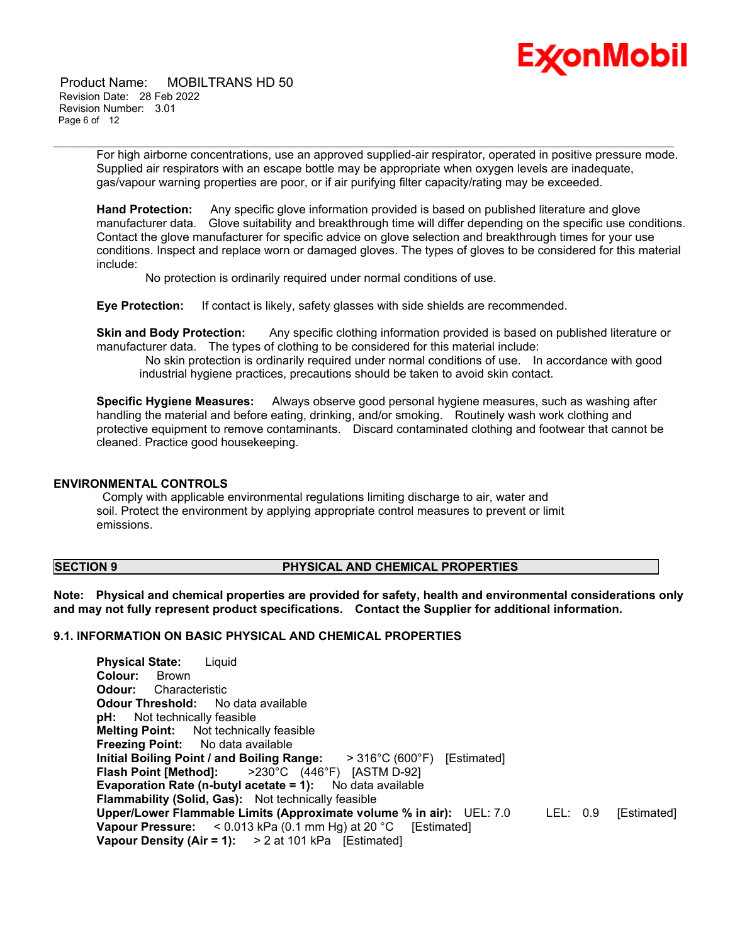

 Product Name: MOBILTRANS HD 50 Revision Date: 28 Feb 2022 Revision Number: 3.01 Page 6 of 12

> For high airborne concentrations, use an approved supplied-air respirator, operated in positive pressure mode. Supplied air respirators with an escape bottle may be appropriate when oxygen levels are inadequate, gas/vapour warning properties are poor, or if air purifying filter capacity/rating may be exceeded.

\_\_\_\_\_\_\_\_\_\_\_\_\_\_\_\_\_\_\_\_\_\_\_\_\_\_\_\_\_\_\_\_\_\_\_\_\_\_\_\_\_\_\_\_\_\_\_\_\_\_\_\_\_\_\_\_\_\_\_\_\_\_\_\_\_\_\_\_\_\_\_\_\_\_\_\_\_\_\_\_\_\_\_\_\_\_\_\_\_\_\_\_\_\_\_\_\_\_\_\_\_\_\_\_\_\_\_\_\_\_\_\_\_\_\_\_\_

**Hand Protection:** Any specific glove information provided is based on published literature and glove manufacturer data. Glove suitability and breakthrough time will differ depending on the specific use conditions. Contact the glove manufacturer for specific advice on glove selection and breakthrough times for your use conditions. Inspect and replace worn or damaged gloves. The types of gloves to be considered for this material include:

No protection is ordinarily required under normal conditions of use.

**Eye Protection:** If contact is likely, safety glasses with side shields are recommended.

**Skin and Body Protection:** Any specific clothing information provided is based on published literature or manufacturer data. The types of clothing to be considered for this material include:

No skin protection is ordinarily required under normal conditions of use. In accordance with good industrial hygiene practices, precautions should be taken to avoid skin contact.

**Specific Hygiene Measures:** Always observe good personal hygiene measures, such as washing after handling the material and before eating, drinking, and/or smoking. Routinely wash work clothing and protective equipment to remove contaminants. Discard contaminated clothing and footwear that cannot be cleaned. Practice good housekeeping.

# **ENVIRONMENTAL CONTROLS**

Comply with applicable environmental regulations limiting discharge to air, water and soil. Protect the environment by applying appropriate control measures to prevent or limit emissions.

# **SECTION 9 PHYSICAL AND CHEMICAL PROPERTIES**

**Note: Physical and chemical properties are provided for safety, health and environmental considerations only and may not fully represent product specifications. Contact the Supplier for additional information.**

# **9.1. INFORMATION ON BASIC PHYSICAL AND CHEMICAL PROPERTIES**

**Physical State:** Liquid **Colour:** Brown **Odour:** Characteristic **Odour Threshold:** No data available **pH:** Not technically feasible **Melting Point:** Not technically feasible **Freezing Point:** No data available **Initial Boiling Point / and Boiling Range:** > 316°C (600°F) [Estimated] **Flash Point [Method]:** >230°C (446°F) [ASTM D-92] **Evaporation Rate (n-butyl acetate = 1):** No data available **Flammability (Solid, Gas):** Not technically feasible **Upper/Lower Flammable Limits (Approximate volume % in air):** UEL: 7.0 LEL: 0.9 [Estimated] **Vapour Pressure:** < 0.013 kPa (0.1 mm Hg) at 20 °C [Estimated] **Vapour Density (Air = 1):** > 2 at 101 kPa [Estimated]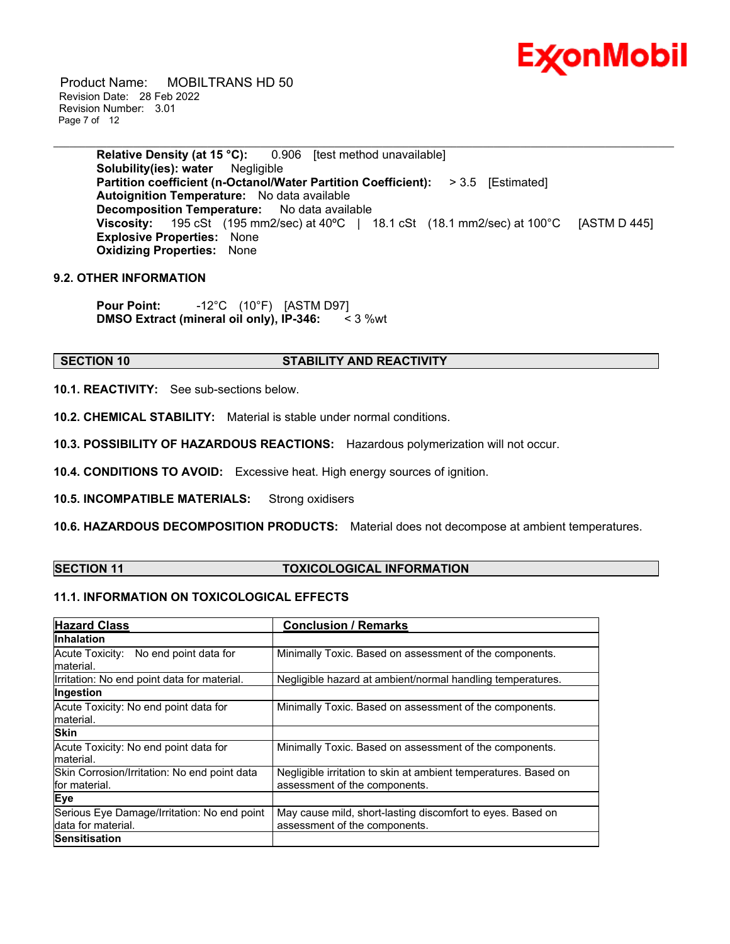

 Product Name: MOBILTRANS HD 50 Revision Date: 28 Feb 2022 Revision Number: 3.01 Page 7 of 12

> **Relative Density (at 15 °C):** 0.906 [test method unavailable] **Solubility(ies): water** Negligible **Partition coefficient (n-Octanol/Water Partition Coefficient):** > 3.5 [Estimated] **Autoignition Temperature:** No data available **Decomposition Temperature:** No data available **Viscosity:** 195 cSt (195 mm2/sec) at 40ºC | 18.1 cSt (18.1 mm2/sec) at 100°C [ASTM D 445] **Explosive Properties:** None **Oxidizing Properties:** None

\_\_\_\_\_\_\_\_\_\_\_\_\_\_\_\_\_\_\_\_\_\_\_\_\_\_\_\_\_\_\_\_\_\_\_\_\_\_\_\_\_\_\_\_\_\_\_\_\_\_\_\_\_\_\_\_\_\_\_\_\_\_\_\_\_\_\_\_\_\_\_\_\_\_\_\_\_\_\_\_\_\_\_\_\_\_\_\_\_\_\_\_\_\_\_\_\_\_\_\_\_\_\_\_\_\_\_\_\_\_\_\_\_\_\_\_\_

# **9.2. OTHER INFORMATION**

**Pour Point:** -12°C (10°F) [ASTM D97] **DMSO Extract (mineral oil only), IP-346:** < 3 %wt

#### **SECTION 10 STABILITY AND REACTIVITY**

**10.1. REACTIVITY:** See sub-sections below.

**10.2. CHEMICAL STABILITY:** Material is stable under normal conditions.

**10.3. POSSIBILITY OF HAZARDOUS REACTIONS:** Hazardous polymerization will not occur.

**10.4. CONDITIONS TO AVOID:** Excessive heat. High energy sources of ignition.

**10.5. INCOMPATIBLE MATERIALS:** Strong oxidisers

**10.6. HAZARDOUS DECOMPOSITION PRODUCTS:** Material does not decompose at ambient temperatures.

# **SECTION 11 TOXICOLOGICAL INFORMATION**

# **11.1. INFORMATION ON TOXICOLOGICAL EFFECTS**

| <b>Hazard Class</b>                                               | <b>Conclusion / Remarks</b>                                                                      |
|-------------------------------------------------------------------|--------------------------------------------------------------------------------------------------|
| <b>Inhalation</b>                                                 |                                                                                                  |
| Acute Toxicity: No end point data for<br>material.                | Minimally Toxic. Based on assessment of the components.                                          |
| Irritation: No end point data for material.                       | Negligible hazard at ambient/normal handling temperatures.                                       |
| Ingestion                                                         |                                                                                                  |
| Acute Toxicity: No end point data for<br>material.                | Minimally Toxic. Based on assessment of the components.                                          |
| <b>Skin</b>                                                       |                                                                                                  |
| Acute Toxicity: No end point data for<br>material.                | Minimally Toxic. Based on assessment of the components.                                          |
| Skin Corrosion/Irritation: No end point data<br>for material.     | Negligible irritation to skin at ambient temperatures. Based on<br>assessment of the components. |
| Eye                                                               |                                                                                                  |
| Serious Eye Damage/Irritation: No end point<br>data for material. | May cause mild, short-lasting discomfort to eyes. Based on<br>assessment of the components.      |
| <b>Sensitisation</b>                                              |                                                                                                  |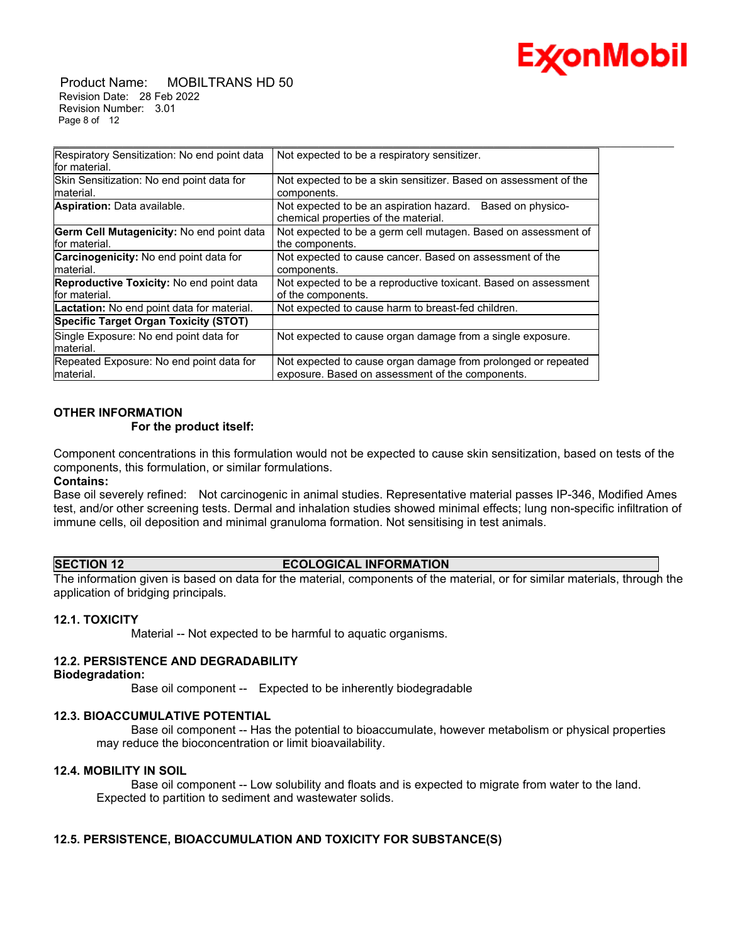

 Product Name: MOBILTRANS HD 50 Revision Date: 28 Feb 2022 Revision Number: 3.01 Page 8 of 12

| Respiratory Sensitization: No end point data<br>lfor material. | Not expected to be a respiratory sensitizer.                                                          |
|----------------------------------------------------------------|-------------------------------------------------------------------------------------------------------|
| Skin Sensitization: No end point data for                      | Not expected to be a skin sensitizer. Based on assessment of the                                      |
| material.                                                      | components.                                                                                           |
| <b>Aspiration:</b> Data available.                             | Not expected to be an aspiration hazard.<br>Based on physico-<br>chemical properties of the material. |
| Germ Cell Mutagenicity: No end point data<br>lfor material.    | Not expected to be a germ cell mutagen. Based on assessment of<br>the components.                     |
|                                                                |                                                                                                       |
| <b>Carcinogenicity:</b> No end point data for                  | Not expected to cause cancer. Based on assessment of the                                              |
| material.                                                      | components.                                                                                           |
| Reproductive Toxicity: No end point data                       | Not expected to be a reproductive toxicant. Based on assessment                                       |
| for material.                                                  | of the components.                                                                                    |
| <b>Lactation:</b> No end point data for material.              | Not expected to cause harm to breast-fed children.                                                    |
| Specific Target Organ Toxicity (STOT)                          |                                                                                                       |
| Single Exposure: No end point data for                         | Not expected to cause organ damage from a single exposure.                                            |
| material.                                                      |                                                                                                       |
| Repeated Exposure: No end point data for                       | Not expected to cause organ damage from prolonged or repeated                                         |
| Imaterial.                                                     | exposure. Based on assessment of the components.                                                      |

\_\_\_\_\_\_\_\_\_\_\_\_\_\_\_\_\_\_\_\_\_\_\_\_\_\_\_\_\_\_\_\_\_\_\_\_\_\_\_\_\_\_\_\_\_\_\_\_\_\_\_\_\_\_\_\_\_\_\_\_\_\_\_\_\_\_\_\_\_\_\_\_\_\_\_\_\_\_\_\_\_\_\_\_\_\_\_\_\_\_\_\_\_\_\_\_\_\_\_\_\_\_\_\_\_\_\_\_\_\_\_\_\_\_\_\_\_

# **OTHER INFORMATION**

# **For the product itself:**

Component concentrations in this formulation would not be expected to cause skin sensitization, based on tests of the components, this formulation, or similar formulations.

# **Contains:**

Base oil severely refined: Not carcinogenic in animal studies. Representative material passes IP-346, Modified Ames test, and/or other screening tests. Dermal and inhalation studies showed minimal effects; lung non-specific infiltration of immune cells, oil deposition and minimal granuloma formation. Not sensitising in test animals.

#### **SECTION 12 ECOLOGICAL INFORMATION**

The information given is based on data for the material, components of the material, or for similar materials, through the application of bridging principals.

# **12.1. TOXICITY**

Material -- Not expected to be harmful to aquatic organisms.

# **12.2. PERSISTENCE AND DEGRADABILITY**

#### **Biodegradation:**

Base oil component -- Expected to be inherently biodegradable

# **12.3. BIOACCUMULATIVE POTENTIAL**

 Base oil component -- Has the potential to bioaccumulate, however metabolism or physical properties may reduce the bioconcentration or limit bioavailability.

# **12.4. MOBILITY IN SOIL**

 Base oil component -- Low solubility and floats and is expected to migrate from water to the land. Expected to partition to sediment and wastewater solids.

# **12.5. PERSISTENCE, BIOACCUMULATION AND TOXICITY FOR SUBSTANCE(S)**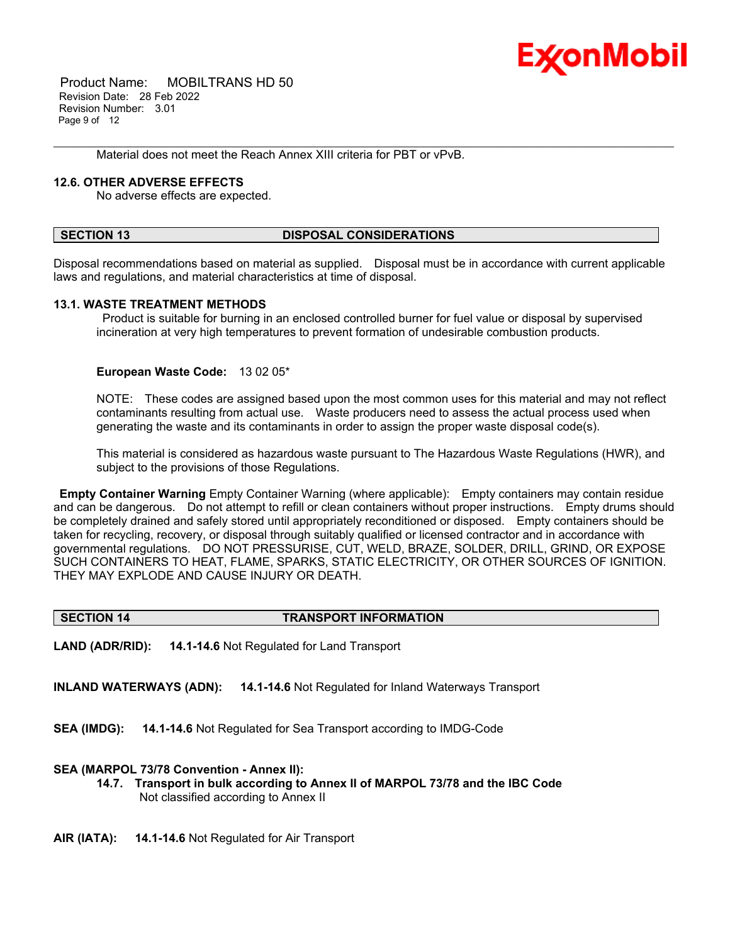

 Product Name: MOBILTRANS HD 50 Revision Date: 28 Feb 2022 Revision Number: 3.01 Page 9 of 12

Material does not meet the Reach Annex XIII criteria for PBT or vPvB.

# **12.6. OTHER ADVERSE EFFECTS**

No adverse effects are expected.

#### **SECTION 13 DISPOSAL CONSIDERATIONS**

\_\_\_\_\_\_\_\_\_\_\_\_\_\_\_\_\_\_\_\_\_\_\_\_\_\_\_\_\_\_\_\_\_\_\_\_\_\_\_\_\_\_\_\_\_\_\_\_\_\_\_\_\_\_\_\_\_\_\_\_\_\_\_\_\_\_\_\_\_\_\_\_\_\_\_\_\_\_\_\_\_\_\_\_\_\_\_\_\_\_\_\_\_\_\_\_\_\_\_\_\_\_\_\_\_\_\_\_\_\_\_\_\_\_\_\_\_

Disposal recommendations based on material as supplied. Disposal must be in accordance with current applicable laws and regulations, and material characteristics at time of disposal.

# **13.1. WASTE TREATMENT METHODS**

Product is suitable for burning in an enclosed controlled burner for fuel value or disposal by supervised incineration at very high temperatures to prevent formation of undesirable combustion products.

# **European Waste Code:** 13 02 05\*

NOTE: These codes are assigned based upon the most common uses for this material and may not reflect contaminants resulting from actual use. Waste producers need to assess the actual process used when generating the waste and its contaminants in order to assign the proper waste disposal code(s).

This material is considered as hazardous waste pursuant to The Hazardous Waste Regulations (HWR), and subject to the provisions of those Regulations.

**Empty Container Warning** Empty Container Warning (where applicable): Empty containers may contain residue and can be dangerous. Do not attempt to refill or clean containers without proper instructions. Empty drums should be completely drained and safely stored until appropriately reconditioned or disposed. Empty containers should be taken for recycling, recovery, or disposal through suitably qualified or licensed contractor and in accordance with governmental regulations. DO NOT PRESSURISE, CUT, WELD, BRAZE, SOLDER, DRILL, GRIND, OR EXPOSE SUCH CONTAINERS TO HEAT, FLAME, SPARKS, STATIC ELECTRICITY, OR OTHER SOURCES OF IGNITION. THEY MAY EXPLODE AND CAUSE INJURY OR DEATH.

# **SECTION 14 TRANSPORT INFORMATION**

**LAND (ADR/RID): 14.1-14.6** Not Regulated for Land Transport

**INLAND WATERWAYS (ADN): 14.1-14.6** Not Regulated for Inland Waterways Transport

**SEA (IMDG): 14.1-14.6** Not Regulated for Sea Transport according to IMDG-Code

# **SEA (MARPOL 73/78 Convention - Annex II):**

- **14.7. Transport in bulk according to Annex II of MARPOL 73/78 and the IBC Code** Not classified according to Annex II
- **AIR (IATA): 14.1-14.6** Not Regulated for Air Transport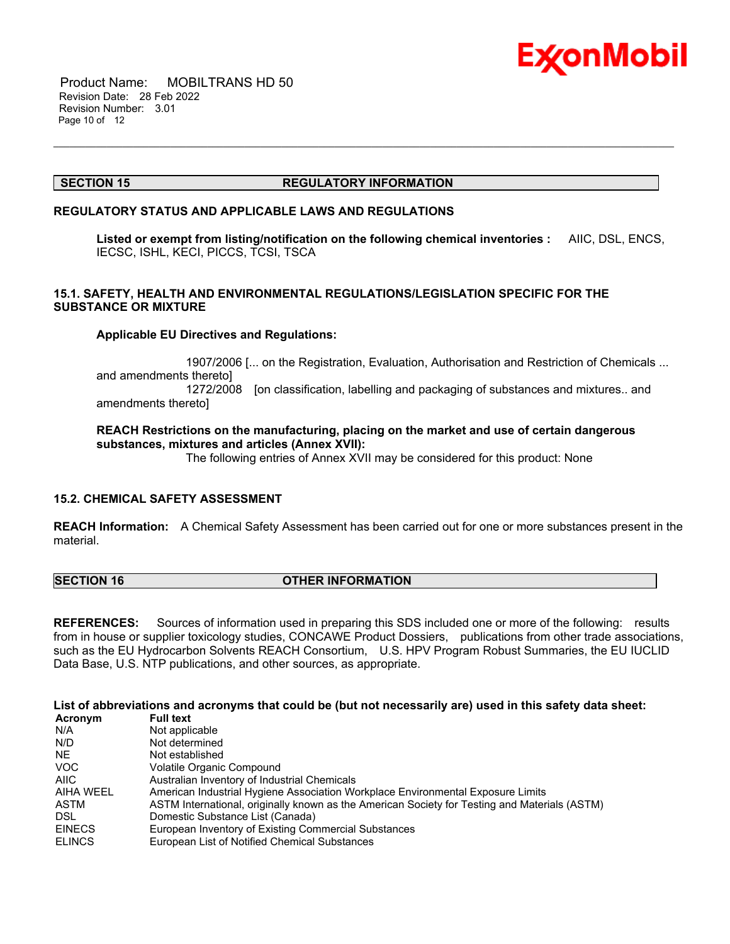

 Product Name: MOBILTRANS HD 50 Revision Date: 28 Feb 2022 Revision Number: 3.01 Page 10 of 12

# **SECTION 15 REGULATORY INFORMATION**

#### **REGULATORY STATUS AND APPLICABLE LAWS AND REGULATIONS**

**Listed or exempt from listing/notification on the following chemical inventories :** AIIC, DSL, ENCS, IECSC, ISHL, KECI, PICCS, TCSI, TSCA

\_\_\_\_\_\_\_\_\_\_\_\_\_\_\_\_\_\_\_\_\_\_\_\_\_\_\_\_\_\_\_\_\_\_\_\_\_\_\_\_\_\_\_\_\_\_\_\_\_\_\_\_\_\_\_\_\_\_\_\_\_\_\_\_\_\_\_\_\_\_\_\_\_\_\_\_\_\_\_\_\_\_\_\_\_\_\_\_\_\_\_\_\_\_\_\_\_\_\_\_\_\_\_\_\_\_\_\_\_\_\_\_\_\_\_\_\_

# **15.1. SAFETY, HEALTH AND ENVIRONMENTAL REGULATIONS/LEGISLATION SPECIFIC FOR THE SUBSTANCE OR MIXTURE**

# **Applicable EU Directives and Regulations:**

 1907/2006 [... on the Registration, Evaluation, Authorisation and Restriction of Chemicals ... and amendments thereto] 1272/2008 [on classification, labelling and packaging of substances and mixtures.. and amendments thereto]

# **REACH Restrictions on the manufacturing, placing on the market and use of certain dangerous substances, mixtures and articles (Annex XVII):**

The following entries of Annex XVII may be considered for this product: None

# **15.2. CHEMICAL SAFETY ASSESSMENT**

**REACH Information:** A Chemical Safety Assessment has been carried out for one or more substances present in the material.

# **SECTION 16 OTHER INFORMATION**

**REFERENCES:** Sources of information used in preparing this SDS included one or more of the following: results from in house or supplier toxicology studies, CONCAWE Product Dossiers, publications from other trade associations, such as the EU Hydrocarbon Solvents REACH Consortium, U.S. HPV Program Robust Summaries, the EU IUCLID Data Base, U.S. NTP publications, and other sources, as appropriate.

List of abbreviations and acronyms that could be (but not necessarily are) used in this safety data sheet:

| Acronym          | <b>Full text</b>                                                                              |
|------------------|-----------------------------------------------------------------------------------------------|
| N/A              | Not applicable                                                                                |
| N/D              | Not determined                                                                                |
| NE.              | Not established                                                                               |
| <b>VOC</b>       | Volatile Organic Compound                                                                     |
| AIIC             | Australian Inventory of Industrial Chemicals                                                  |
| <b>AIHA WEEL</b> | American Industrial Hygiene Association Workplace Environmental Exposure Limits               |
| ASTM             | ASTM International, originally known as the American Society for Testing and Materials (ASTM) |
| <b>DSL</b>       | Domestic Substance List (Canada)                                                              |
| <b>EINECS</b>    | European Inventory of Existing Commercial Substances                                          |
| <b>ELINCS</b>    | European List of Notified Chemical Substances                                                 |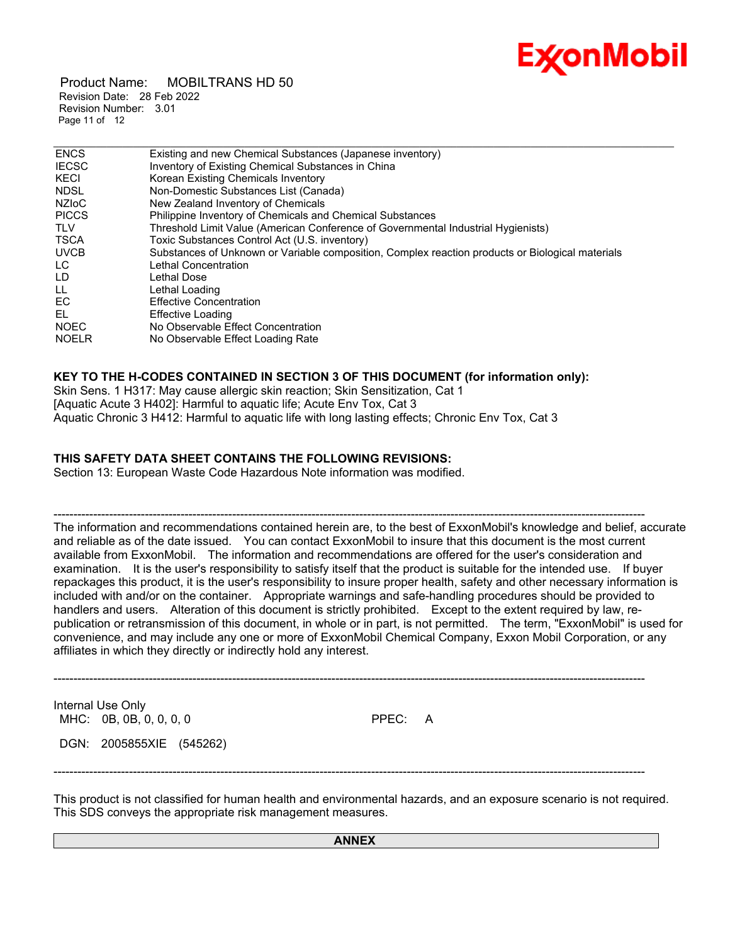

 Product Name: MOBILTRANS HD 50 Revision Date: 28 Feb 2022 Revision Number: 3.01 Page 11 of 12

| <b>ENCS</b>  | Existing and new Chemical Substances (Japanese inventory)                                        |
|--------------|--------------------------------------------------------------------------------------------------|
| <b>IECSC</b> | Inventory of Existing Chemical Substances in China                                               |
| <b>KECI</b>  | Korean Existing Chemicals Inventory                                                              |
| <b>NDSL</b>  | Non-Domestic Substances List (Canada)                                                            |
| <b>NZIOC</b> | New Zealand Inventory of Chemicals                                                               |
| <b>PICCS</b> | <b>Philippine Inventory of Chemicals and Chemical Substances</b>                                 |
| TLV          | Threshold Limit Value (American Conference of Governmental Industrial Hygienists)                |
| <b>TSCA</b>  | Toxic Substances Control Act (U.S. inventory)                                                    |
| <b>UVCB</b>  | Substances of Unknown or Variable composition, Complex reaction products or Biological materials |
| LC.          | Lethal Concentration                                                                             |
| LD.          | Lethal Dose                                                                                      |
| LL           | Lethal Loading                                                                                   |
| EC           | <b>Effective Concentration</b>                                                                   |
| EL           | Effective Loading                                                                                |
| <b>NOEC</b>  | No Observable Effect Concentration                                                               |
| <b>NOELR</b> | No Observable Effect Loading Rate                                                                |

\_\_\_\_\_\_\_\_\_\_\_\_\_\_\_\_\_\_\_\_\_\_\_\_\_\_\_\_\_\_\_\_\_\_\_\_\_\_\_\_\_\_\_\_\_\_\_\_\_\_\_\_\_\_\_\_\_\_\_\_\_\_\_\_\_\_\_\_\_\_\_\_\_\_\_\_\_\_\_\_\_\_\_\_\_\_\_\_\_\_\_\_\_\_\_\_\_\_\_\_\_\_\_\_\_\_\_\_\_\_\_\_\_\_\_\_\_

# **KEY TO THE H-CODES CONTAINED IN SECTION 3 OF THIS DOCUMENT (for information only):**

Skin Sens. 1 H317: May cause allergic skin reaction; Skin Sensitization, Cat 1 [Aquatic Acute 3 H402]: Harmful to aquatic life; Acute Env Tox, Cat 3 Aquatic Chronic 3 H412: Harmful to aquatic life with long lasting effects; Chronic Env Tox, Cat 3

# **THIS SAFETY DATA SHEET CONTAINS THE FOLLOWING REVISIONS:**

Section 13: European Waste Code Hazardous Note information was modified.

----------------------------------------------------------------------------------------------------------------------------------------------------- The information and recommendations contained herein are, to the best of ExxonMobil's knowledge and belief, accurate and reliable as of the date issued. You can contact ExxonMobil to insure that this document is the most current available from ExxonMobil. The information and recommendations are offered for the user's consideration and examination. It is the user's responsibility to satisfy itself that the product is suitable for the intended use. If buyer repackages this product, it is the user's responsibility to insure proper health, safety and other necessary information is included with and/or on the container. Appropriate warnings and safe-handling procedures should be provided to handlers and users. Alteration of this document is strictly prohibited. Except to the extent required by law, republication or retransmission of this document, in whole or in part, is not permitted. The term, "ExxonMobil" is used for convenience, and may include any one or more of ExxonMobil Chemical Company, Exxon Mobil Corporation, or any affiliates in which they directly or indirectly hold any interest.

Internal Use Only MHC: 0B, 0B, 0, 0, 0, 0 **PPEC: A** 

DGN: 2005855XIE (545262)

This product is not classified for human health and environmental hazards, and an exposure scenario is not required. This SDS conveys the appropriate risk management measures.

-----------------------------------------------------------------------------------------------------------------------------------------------------

-----------------------------------------------------------------------------------------------------------------------------------------------------

**ANNEX**